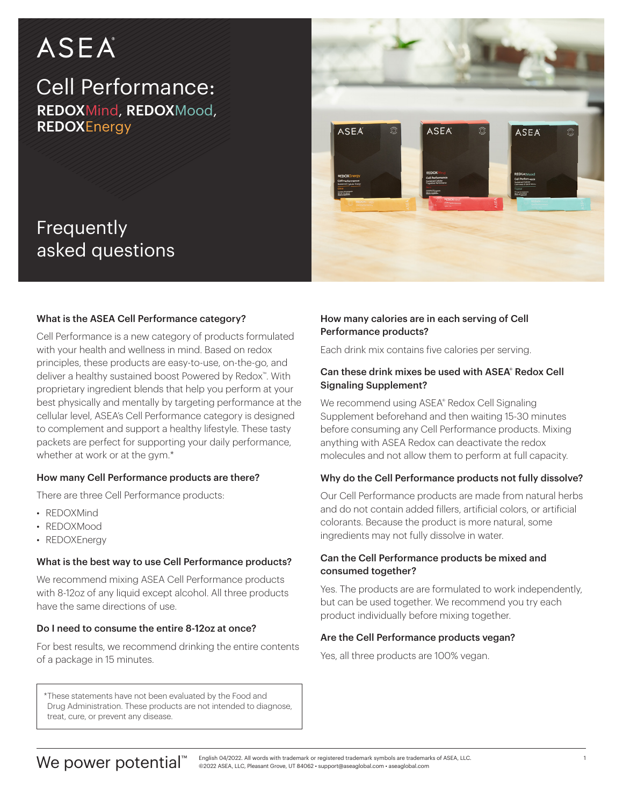# ASEA

Frequently

asked questions

## Cell Performance: REDOXMind, REDOXMood, **REDOXEnergy**



# What is the ASEA Cell Performance category?

Cell Performance is a new category of products formulated with your health and wellness in mind. Based on redox principles, these products are easy-to-use, on-the-go, and deliver a healthy sustained boost Powered by Redox™. With proprietary ingredient blends that help you perform at your best physically and mentally by targeting performance at the cellular level, ASEA's Cell Performance category is designed to complement and support a healthy lifestyle. These tasty packets are perfect for supporting your daily performance, whether at work or at the gym.\*

#### How many Cell Performance products are there?

There are three Cell Performance products:

- REDOXMind
- REDOXMood
- REDOXEnergy

#### What is the best way to use Cell Performance products?

We recommend mixing ASEA Cell Performance products with 8-12oz of any liquid except alcohol. All three products have the same directions of use.

#### Do I need to consume the entire 8-12oz at once?

For best results, we recommend drinking the entire contents of a package in 15 minutes.

\*These statements have not been evaluated by the Food and Drug Administration. These products are not intended to diagnose, treat, cure, or prevent any disease.

#### How many calories are in each serving of Cell Performance products?

Each drink mix contains five calories per serving.

#### Can these drink mixes be used with ASEA® Redox Cell Signaling Supplement?

We recommend using ASEA® Redox Cell Signaling Supplement beforehand and then waiting 15-30 minutes before consuming any Cell Performance products. Mixing anything with ASEA Redox can deactivate the redox molecules and not allow them to perform at full capacity.

#### Why do the Cell Performance products not fully dissolve?

Our Cell Performance products are made from natural herbs and do not contain added fillers, artificial colors, or artificial colorants. Because the product is more natural, some ingredients may not fully dissolve in water.

#### Can the Cell Performance products be mixed and consumed together?

Yes. The products are are formulated to work independently, but can be used together. We recommend you try each product individually before mixing together.

#### Are the Cell Performance products vegan?

Yes, all three products are 100% vegan.

### We power potential™